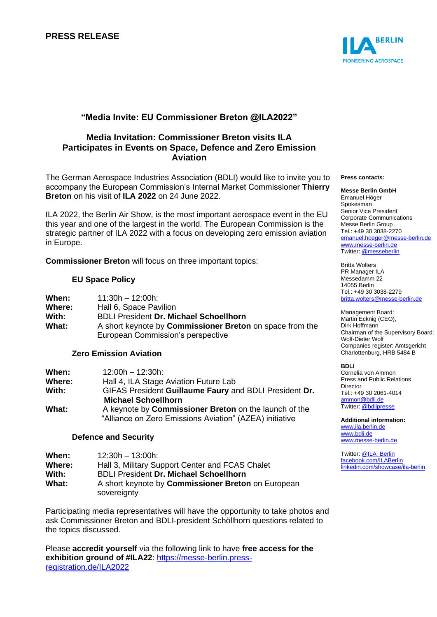

# **"Media Invite: EU Commissioner Breton @ILA2022"**

## **Media Invitation: Commissioner Breton visits ILA Participates in Events on Space, Defence and Zero Emission Aviation**

The German Aerospace Industries Association (BDLI) would like to invite you to accompany the European Commission's Internal Market Commissioner **Thierry Breton** on his visit of **ILA 2022** on 24 June 2022.

ILA 2022, the Berlin Air Show, is the most important aerospace event in the EU this year and one of the largest in the world. The European Commission is the strategic partner of ILA 2022 with a focus on developing zero emission aviation in Europe.

**Commissioner Breton** will focus on three important topics:

### **EU Space Policy**

| When:  | $11:30h - 12:00h$                                               |
|--------|-----------------------------------------------------------------|
| Where: | Hall 6, Space Pavilion                                          |
| With:  | <b>BDLI President Dr. Michael Schoellhorn</b>                   |
| What:  | A short keynote by <b>Commissioner Breton</b> on space from the |
|        | European Commission's perspective                               |

### **Zero Emission Aviation**

| When:  | $12:00h - 12:30h$                                       |
|--------|---------------------------------------------------------|
| Where: | Hall 4, ILA Stage Aviation Future Lab                   |
| With:  | GIFAS President Guillaume Faury and BDLI President Dr.  |
|        | <b>Michael Schoellhorn</b>                              |
| What:  | A keynote by Commissioner Breton on the launch of the   |
|        | "Alliance on Zero Emissions Aviation" (AZEA) initiative |

#### **Defence and Security**

| When:  | $12:30h - 13:00h$                                         |
|--------|-----------------------------------------------------------|
| Where: | Hall 3, Military Support Center and FCAS Chalet           |
| With:  | <b>BDLI President Dr. Michael Schoellhorn</b>             |
| What:  | A short keynote by <b>Commissioner Breton</b> on European |
|        | sovereignty                                               |

Participating media representatives will have the opportunity to take photos and ask Commissioner Breton and BDLI-president Schöllhorn questions related to the topics discussed.

Please **accredit yourself** via the following link to have **free access for the exhibition ground of #ILA22**: [https://messe-berlin.press](https://messe-berlin.press-registration.de/ILA2022/index/index/lang/en)[registration.de/ILA2022](https://messe-berlin.press-registration.de/ILA2022/index/index/lang/en) 

#### **Press contacts:**

**Messe Berlin GmbH** Emanuel Höger Spokesman Senior Vice President Corporate Communications Messe Berlin Group Tel.: +49 30 3038-2270 [emanuel.hoeger@messe-berlin.de](mailto:emanuel.hoeger@messe-berlin.de) [www.messe-berlin.de](http://www.messe-berlin.de/) Twitter: [@messeberlin](https://twitter.com/messeberlin)

Britta Wolters PR Manager ILA Messedamm 22 14055 Berlin Tel.: +49 30 3038-2279 [britta.wolters@messe-berlin.de](mailto:britta.wolters@messe-berlin.de)

Management Board: Martin Ecknig (CEO), Dirk Hoffmann Chairman of the Supervisory Board: Wolf-Dieter Wolf Companies register: Amtsgericht Charlottenburg, HRB 5484 B

#### **BDLI**

Cornelia von Ammon Press and Public Relations Director Tel.: +49 30 2061-4014 [ammon@bdli.de](mailto:ammon@bdli.de) Twitter: [@bdlipresse](https://twitter.com/bdlipresse?lang=de)

**Additional information:** [www.ila.berlin.de](http://www.ila.berlin.de/) [www.bdli.de](http://www.bdli.de/) [www.messe-berlin.de](http://www.messe-berlin.de/)

Twitter: [@ILA\\_Berlin](https://twitter.com/ila_berlin?lang=de) [facebook.com/ILABerlin](file:///C:/Users/Woiton.Sandra/AppData/Local/Microsoft/Windows/ammon/AppData/Local/Users/FrankeC/AppData/Local/Microsoft/Windows/INetCache/Content.Outlook/AppData/Local/Microsoft/Windows/INetCache/Content.Outlook/AppData/Local/Microsoft/Windows/INetCache/Content.Outlook/NIXZO984/facebook.com/ILABerlin%0bhttps:/www.linkedin.com/showcase/ila-berlin) [linkedin.com/showcase/ila-berlin](https://www.linkedin.com/showcase/ila-berlin)